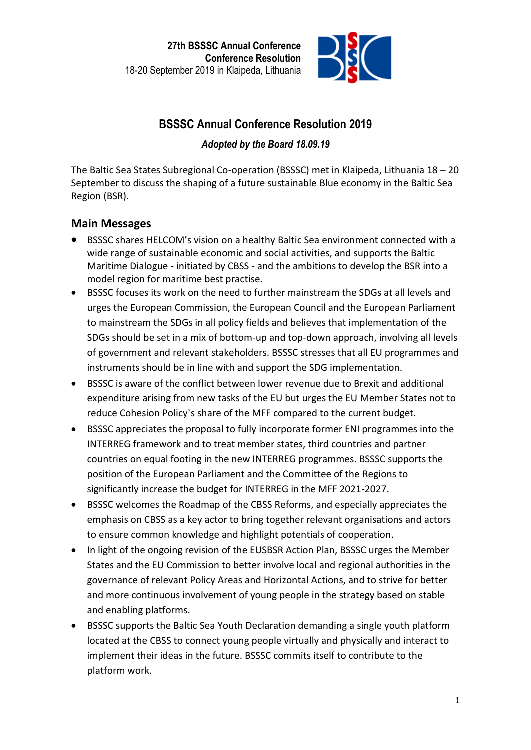

# **BSSSC Annual Conference Resolution 2019**

## *Adopted by the Board 18.09.19*

The Baltic Sea States Subregional Co-operation (BSSSC) met in Klaipeda, Lithuania 18 – 20 September to discuss the shaping of a future sustainable Blue economy in the Baltic Sea Region (BSR).

## **Main Messages**

- BSSSC shares HELCOM's vision on a healthy Baltic Sea environment connected with a wide range of sustainable economic and social activities, and supports the Baltic Maritime Dialogue - initiated by CBSS - and the ambitions to develop the BSR into a model region for maritime best practise.
- BSSSC focuses its work on the need to further mainstream the SDGs at all levels and urges the European Commission, the European Council and the European Parliament to mainstream the SDGs in all policy fields and believes that implementation of the SDGs should be set in a mix of bottom-up and top-down approach, involving all levels of government and relevant stakeholders. BSSSC stresses that all EU programmes and instruments should be in line with and support the SDG implementation.
- BSSSC is aware of the conflict between lower revenue due to Brexit and additional expenditure arising from new tasks of the EU but urges the EU Member States not to reduce Cohesion Policy`s share of the MFF compared to the current budget.
- BSSSC appreciates the proposal to fully incorporate former ENI programmes into the INTERREG framework and to treat member states, third countries and partner countries on equal footing in the new INTERREG programmes. BSSSC supports the position of the European Parliament and the Committee of the Regions to significantly increase the budget for INTERREG in the MFF 2021-2027.
- BSSSC welcomes the Roadmap of the CBSS Reforms, and especially appreciates the emphasis on CBSS as a key actor to bring together relevant organisations and actors to ensure common knowledge and highlight potentials of cooperation.
- In light of the ongoing revision of the EUSBSR Action Plan, BSSSC urges the Member States and the EU Commission to better involve local and regional authorities in the governance of relevant Policy Areas and Horizontal Actions, and to strive for better and more continuous involvement of young people in the strategy based on stable and enabling platforms.
- BSSSC supports the Baltic Sea Youth Declaration demanding a single youth platform located at the CBSS to connect young people virtually and physically and interact to implement their ideas in the future. BSSSC commits itself to contribute to the platform work.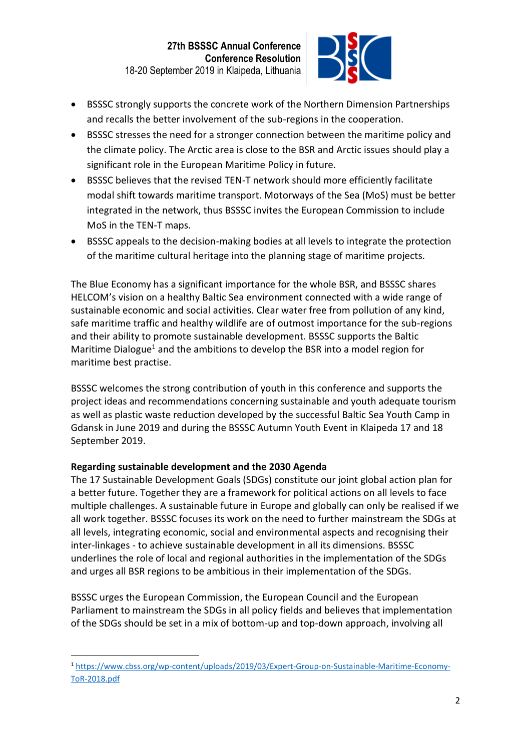

- BSSSC strongly supports the concrete work of the Northern Dimension Partnerships and recalls the better involvement of the sub-regions in the cooperation.
- BSSSC stresses the need for a stronger connection between the maritime policy and the climate policy. The Arctic area is close to the BSR and Arctic issues should play a significant role in the European Maritime Policy in future.
- BSSSC believes that the revised TEN-T network should more efficiently facilitate modal shift towards maritime transport. Motorways of the Sea (MoS) must be better integrated in the network, thus BSSSC invites the European Commission to include MoS in the TEN-T maps.
- BSSSC appeals to the decision-making bodies at all levels to integrate the protection of the maritime cultural heritage into the planning stage of maritime projects.

The Blue Economy has a significant importance for the whole BSR, and BSSSC shares HELCOM's vision on a healthy Baltic Sea environment connected with a wide range of sustainable economic and social activities. Clear water free from pollution of any kind, safe maritime traffic and healthy wildlife are of outmost importance for the sub-regions and their ability to promote sustainable development. BSSSC supports the Baltic Maritime Dialogue<sup>1</sup> and the ambitions to develop the BSR into a model region for maritime best practise.

BSSSC welcomes the strong contribution of youth in this conference and supports the project ideas and recommendations concerning sustainable and youth adequate tourism as well as plastic waste reduction developed by the successful Baltic Sea Youth Camp in Gdansk in June 2019 and during the BSSSC Autumn Youth Event in Klaipeda 17 and 18 September 2019.

## **Regarding sustainable development and the 2030 Agenda**

The 17 Sustainable Development Goals (SDGs) constitute our joint global action plan for a better future. Together they are a framework for political actions on all levels to face multiple challenges. A sustainable future in Europe and globally can only be realised if we all work together. BSSSC focuses its work on the need to further mainstream the SDGs at all levels, integrating economic, social and environmental aspects and recognising their inter-linkages - to achieve sustainable development in all its dimensions. BSSSC underlines the role of local and regional authorities in the implementation of the SDGs and urges all BSR regions to be ambitious in their implementation of the SDGs.

BSSSC urges the European Commission, the European Council and the European Parliament to mainstream the SDGs in all policy fields and believes that implementation of the SDGs should be set in a mix of bottom-up and top-down approach, involving all

<sup>1</sup> [https://www.cbss.org/wp-content/uploads/2019/03/Expert-Group-on-Sustainable-Maritime-Economy-](https://www.cbss.org/wp-content/uploads/2019/03/Expert-Group-on-Sustainable-Maritime-Economy-ToR-2018.pdf)[ToR-2018.pdf](https://www.cbss.org/wp-content/uploads/2019/03/Expert-Group-on-Sustainable-Maritime-Economy-ToR-2018.pdf)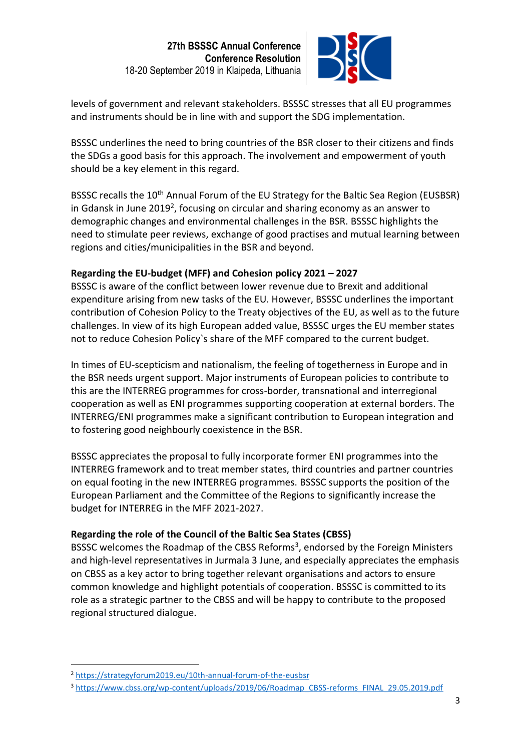

levels of government and relevant stakeholders. BSSSC stresses that all EU programmes and instruments should be in line with and support the SDG implementation.

BSSSC underlines the need to bring countries of the BSR closer to their citizens and finds the SDGs a good basis for this approach. The involvement and empowerment of youth should be a key element in this regard.

BSSSC recalls the 10<sup>th</sup> Annual Forum of the EU Strategy for the Baltic Sea Region (EUSBSR) in Gdansk in June 2019<sup>2</sup>, focusing on circular and sharing economy as an answer to demographic changes and environmental challenges in the BSR. BSSSC highlights the need to stimulate peer reviews, exchange of good practises and mutual learning between regions and cities/municipalities in the BSR and beyond.

## **Regarding the EU-budget (MFF) and Cohesion policy 2021 – 2027**

BSSSC is aware of the conflict between lower revenue due to Brexit and additional expenditure arising from new tasks of the EU. However, BSSSC underlines the important contribution of Cohesion Policy to the Treaty objectives of the EU, as well as to the future challenges. In view of its high European added value, BSSSC urges the EU member states not to reduce Cohesion Policy`s share of the MFF compared to the current budget.

In times of EU-scepticism and nationalism, the feeling of togetherness in Europe and in the BSR needs urgent support. Major instruments of European policies to contribute to this are the INTERREG programmes for cross-border, transnational and interregional cooperation as well as ENI programmes supporting cooperation at external borders. The INTERREG/ENI programmes make a significant contribution to European integration and to fostering good neighbourly coexistence in the BSR.

BSSSC appreciates the proposal to fully incorporate former ENI programmes into the INTERREG framework and to treat member states, third countries and partner countries on equal footing in the new INTERREG programmes. BSSSC supports the position of the European Parliament and the Committee of the Regions to significantly increase the budget for INTERREG in the MFF 2021-2027.

## **Regarding the role of the Council of the Baltic Sea States (CBSS)**

BSSSC welcomes the Roadmap of the CBSS Reforms<sup>3</sup>, endorsed by the Foreign Ministers and high-level representatives in Jurmala 3 June, and especially appreciates the emphasis on CBSS as a key actor to bring together relevant organisations and actors to ensure common knowledge and highlight potentials of cooperation. BSSSC is committed to its role as a strategic partner to the CBSS and will be happy to contribute to the proposed regional structured dialogue.

<sup>2</sup> <https://strategyforum2019.eu/10th-annual-forum-of-the-eusbsr>

<sup>&</sup>lt;sup>3</sup> [https://www.cbss.org/wp-content/uploads/2019/06/Roadmap\\_CBSS-reforms\\_FINAL\\_29.05.2019.pdf](https://www.cbss.org/wp-content/uploads/2019/06/Roadmap_CBSS-reforms_FINAL_29.05.2019.pdf)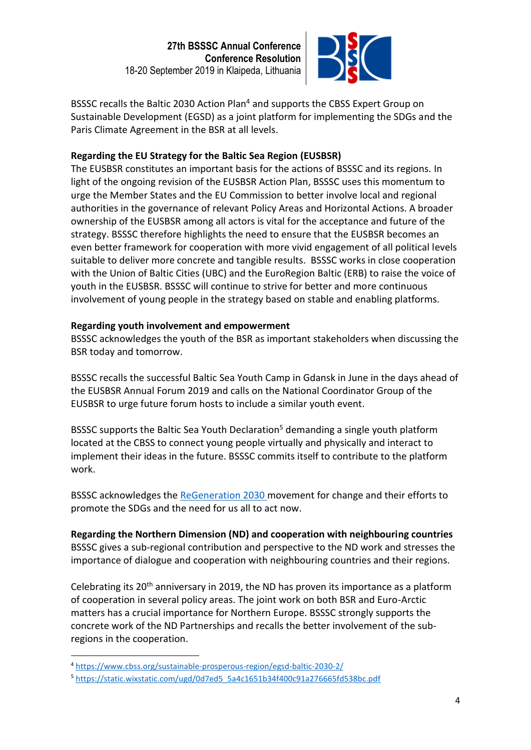

BSSSC recalls the Baltic 2030 Action Plan<sup>4</sup> and supports the CBSS Expert Group on Sustainable Development (EGSD) as a joint platform for implementing the SDGs and the Paris Climate Agreement in the BSR at all levels.

### **Regarding the EU Strategy for the Baltic Sea Region (EUSBSR)**

The EUSBSR constitutes an important basis for the actions of BSSSC and its regions. In light of the ongoing revision of the EUSBSR Action Plan, BSSSC uses this momentum to urge the Member States and the EU Commission to better involve local and regional authorities in the governance of relevant Policy Areas and Horizontal Actions. A broader ownership of the EUSBSR among all actors is vital for the acceptance and future of the strategy. BSSSC therefore highlights the need to ensure that the EUSBSR becomes an even better framework for cooperation with more vivid engagement of all political levels suitable to deliver more concrete and tangible results. BSSSC works in close cooperation with the Union of Baltic Cities (UBC) and the EuroRegion Baltic (ERB) to raise the voice of youth in the EUSBSR. BSSSC will continue to strive for better and more continuous involvement of young people in the strategy based on stable and enabling platforms.

#### **Regarding youth involvement and empowerment**

BSSSC acknowledges the youth of the BSR as important stakeholders when discussing the BSR today and tomorrow.

BSSSC recalls the successful Baltic Sea Youth Camp in Gdansk in June in the days ahead of the EUSBSR Annual Forum 2019 and calls on the National Coordinator Group of the EUSBSR to urge future forum hosts to include a similar youth event.

BSSSC supports the Baltic Sea Youth Declaration<sup>5</sup> demanding a single youth platform located at the CBSS to connect young people virtually and physically and interact to implement their ideas in the future. BSSSC commits itself to contribute to the platform work.

BSSSC acknowledges the [ReGeneration 2030 m](https://www.regeneration2030.org/)ovement for change and their efforts to promote the SDGs and the need for us all to act now.

**Regarding the Northern Dimension (ND) and cooperation with neighbouring countries** BSSSC gives a sub-regional contribution and perspective to the ND work and stresses the importance of dialogue and cooperation with neighbouring countries and their regions.

Celebrating its  $20<sup>th</sup>$  anniversary in 2019, the ND has proven its importance as a platform of cooperation in several policy areas. The joint work on both BSR and Euro-Arctic matters has a crucial importance for Northern Europe. BSSSC strongly supports the concrete work of the ND Partnerships and recalls the better involvement of the subregions in the cooperation.

<sup>4</sup> <https://www.cbss.org/sustainable-prosperous-region/egsd-baltic-2030-2/>

<sup>5</sup> [https://static.wixstatic.com/ugd/0d7ed5\\_5a4c1651b34f400c91a276665fd538bc.pdf](https://static.wixstatic.com/ugd/0d7ed5_5a4c1651b34f400c91a276665fd538bc.pdf)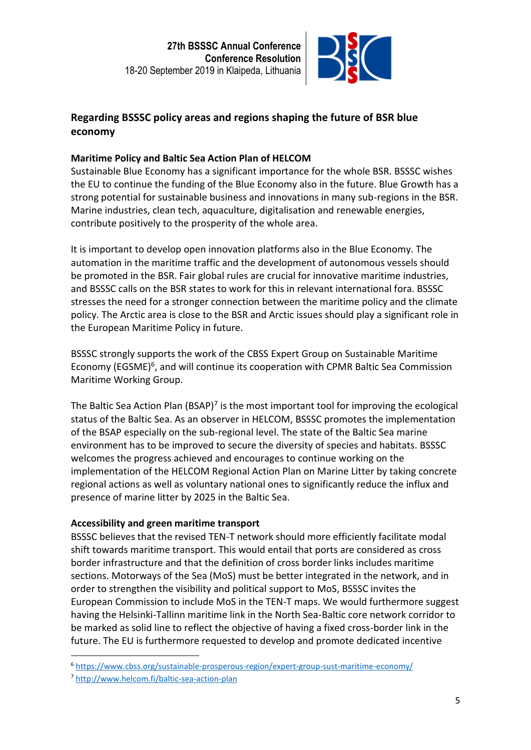

## **Regarding BSSSC policy areas and regions shaping the future of BSR blue economy**

## **Maritime Policy and Baltic Sea Action Plan of HELCOM**

Sustainable Blue Economy has a significant importance for the whole BSR. BSSSC wishes the EU to continue the funding of the Blue Economy also in the future. Blue Growth has a strong potential for sustainable business and innovations in many sub-regions in the BSR. Marine industries, clean tech, aquaculture, digitalisation and renewable energies, contribute positively to the prosperity of the whole area.

It is important to develop open innovation platforms also in the Blue Economy. The automation in the maritime traffic and the development of autonomous vessels should be promoted in the BSR. Fair global rules are crucial for innovative maritime industries, and BSSSC calls on the BSR states to work for this in relevant international fora. BSSSC stresses the need for a stronger connection between the maritime policy and the climate policy. The Arctic area is close to the BSR and Arctic issues should play a significant role in the European Maritime Policy in future.

BSSSC strongly supports the work of the CBSS Expert Group on Sustainable Maritime Economy (EGSME)<sup>6</sup>, and will continue its cooperation with CPMR Baltic Sea Commission Maritime Working Group.

The Baltic Sea Action Plan (BSAP)<sup>7</sup> is the most important tool for improving the ecological status of the Baltic Sea. As an observer in HELCOM, BSSSC promotes the implementation of the BSAP especially on the sub-regional level. The state of the Baltic Sea marine environment has to be improved to secure the diversity of species and habitats. BSSSC welcomes the progress achieved and encourages to continue working on the implementation of the HELCOM Regional Action Plan on Marine Litter by taking concrete regional actions as well as voluntary national ones to significantly reduce the influx and presence of marine litter by 2025 in the Baltic Sea.

## **Accessibility and green maritime transport**

BSSSC believes that the revised TEN-T network should more efficiently facilitate modal shift towards maritime transport. This would entail that ports are considered as cross border infrastructure and that the definition of cross border links includes maritime sections. Motorways of the Sea (MoS) must be better integrated in the network, and in order to strengthen the visibility and political support to MoS, BSSSC invites the European Commission to include MoS in the TEN-T maps. We would furthermore suggest having the Helsinki-Tallinn maritime link in the North Sea-Baltic core network corridor to be marked as solid line to reflect the objective of having a fixed cross-border link in the future. The EU is furthermore requested to develop and promote dedicated incentive

<sup>6</sup> <https://www.cbss.org/sustainable-prosperous-region/expert-group-sust-maritime-economy/>

<sup>7</sup> <http://www.helcom.fi/baltic-sea-action-plan>